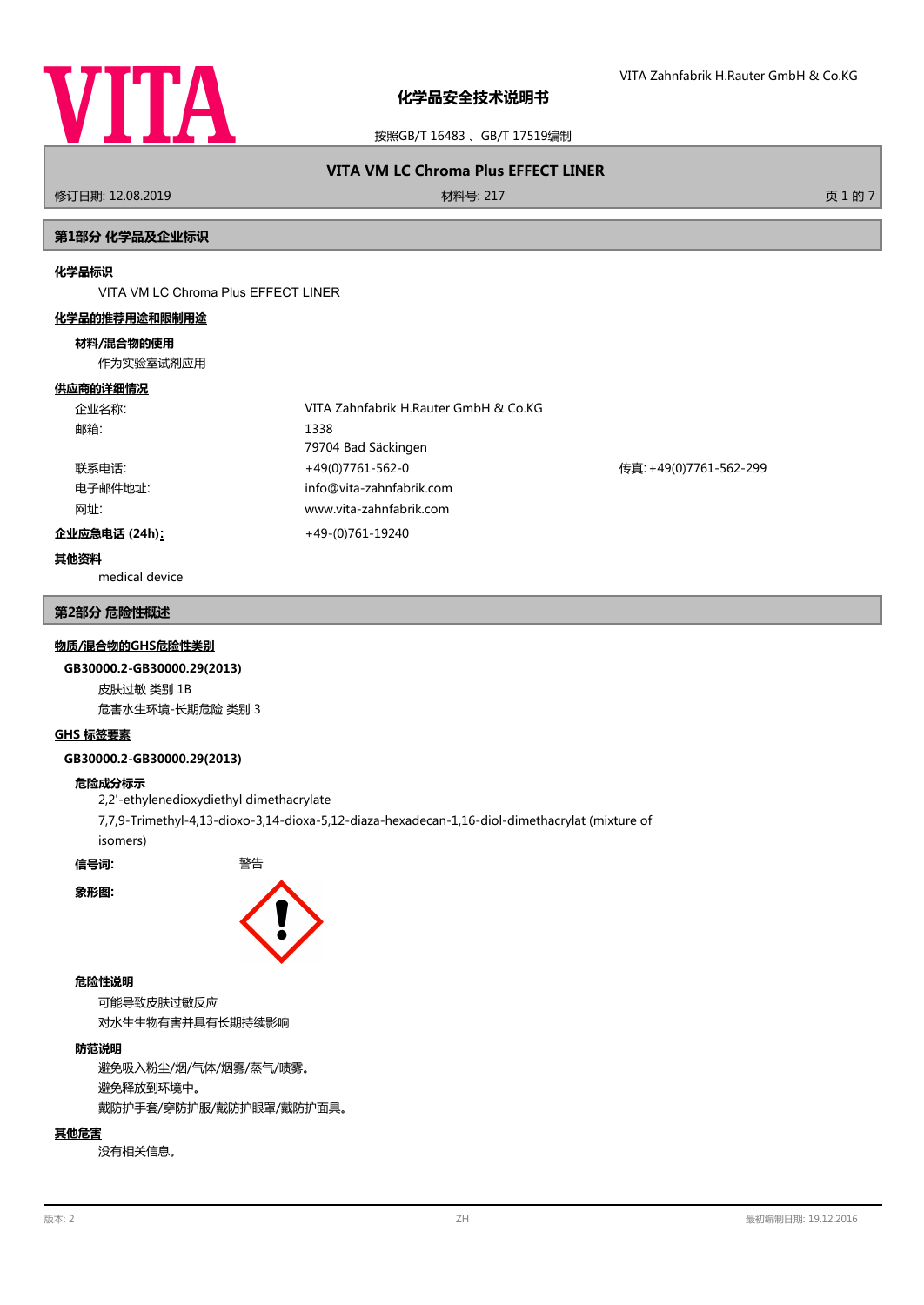

按照GB/T 16483 、GB/T 17519编制

# **VITA VM LC Chroma Plus EFFECT LINER**

修订日期: 12.08.2019 材料号: 217 页 1 的 7

# **第1部分 化学品及企业标识**

#### **化学品标识**

VITA VM LC Chroma Plus EFFECT LINER

#### **化学品的推荐用途和限制用途**

### **材料/混合物的使用**

作为实验室试剂应用

#### **供应商的详细情况**

| 企业名称:         | VITA Zahnfabrik H.Rauter GmbH & Co.KG |                        |
|---------------|---------------------------------------|------------------------|
| 邮箱:           | 1338                                  |                        |
|               | 79704 Bad Säckingen                   |                        |
| 联系电话:         | +49(0)7761-562-0                      | 传真: +49(0)7761-562-299 |
| 电子邮件地址:       | info@vita-zahnfabrik.com              |                        |
| 网址:           | www.vita-zahnfabrik.com               |                        |
| 企业应急电话 (24h): | +49-(0)761-19240                      |                        |

## **其他资料**

medical device

### **第2部分 危险性概述**

#### **物质/混合物的GHS危险性类别**

#### **GB30000.2-GB30000.29(2013)**

皮肤过敏 类别 1B 危害水生环境-长期危险 类别 3

#### **GHS 标签要素**

## **GB30000.2-GB30000.29(2013)**

## **危险成分标示**

2,2'-ethylenedioxydiethyl dimethacrylate 7,7,9-Trimethyl-4,13-dioxo-3,14-dioxa-5,12-diaza-hexadecan-1,16-diol-dimethacrylat (mixture of isomers)

**信号词:** 警告

**象形图:**



#### **危险性说明**

可能导致皮肤过敏反应 对水生生物有害并具有长期持续影响

# **防范说明**

避免吸入粉尘/烟/气体/烟雾/蒸气/啧雾。 避免释放到环境中。 戴防护手套/穿防护服/戴防护眼罩/戴防护面具。

## **其他危害**

没有相关信息。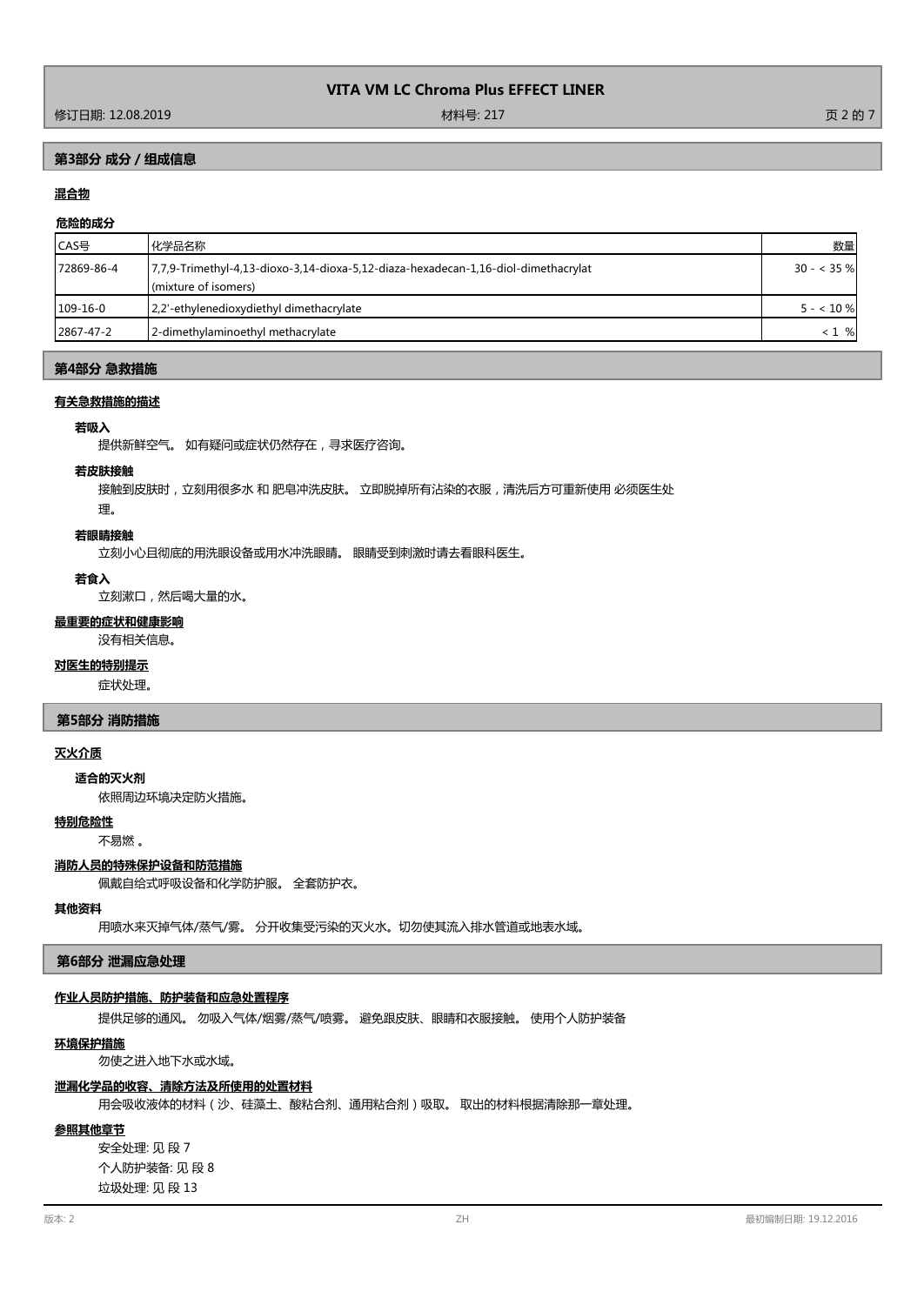# **第3部分 成分/组成信息**

# **混合物**

## **危险的成分**

| ICAS号      | 化学品名称                                                                               | 数量          |
|------------|-------------------------------------------------------------------------------------|-------------|
| 72869-86-4 | [7,7,9-Trimethyl-4,13-dioxo-3,14-dioxa-5,12-diaza-hexadecan-1,16-diol-dimethacrylat | $30 - 35$ % |
|            | (mixture of isomers)                                                                |             |
| $109-16-0$ | 2.2'-ethylenedioxydiethyl dimethacrylate                                            | $5 - 10\%$  |
| 2867-47-2  | 2-dimethylaminoethyl methacrylate                                                   | %<br>< 1    |
|            |                                                                                     |             |

### **第4部分 急救措施**

# **有关急救措施的描述**

#### **若吸入**

提供新鲜空气。 如有疑问或症状仍然存在,寻求医疗咨询。

#### **若皮肤接触**

接触到皮肤时,立刻用很多水 和 肥皂冲洗皮肤。 立即脱掉所有沾染的衣服,清洗后方可重新使用 必须医生处

# 理。

## **若眼睛接触**

立刻小心且彻底的用洗眼设备或用水冲洗眼睛。 眼睛受到刺激时请去看眼科医生。

#### **若食入**

立刻漱口,然后喝大量的水。

#### **最重要的症状和健康影响**

没有相关信息。

#### **对医生的特别提示**

症状处理。

#### **第5部分 消防措施**

## **灭火介质**

#### **适合的灭火剂**

依照周边环境决定防火措施。

## **特别危险性**

不易燃 。

## **消防人员的特殊保护设备和防范措施**

佩戴自给式呼吸设备和化学防护服。 全套防护衣。

### **其他资料**

用喷水来灭掉气体/蒸气/雾。 分开收集受污染的灭火水。切勿使其流入排水管道或地表水域。

## **第6部分 泄漏应急处理**

## **作业人员防护措施、防护装备和应急处置程序**

提供足够的通风。 勿吸入气体/烟雾/蒸气/喷雾。 避免跟皮肤、眼睛和衣服接触。 使用个人防护装备

## **环境保护措施**

勿使之进入地下水或水域。

# **泄漏化学品的收容、清除方法及所使用的处置材料**

用会吸收液体的材料(沙、硅藻土、酸粘合剂、通用粘合剂)吸取。 取出的材料根据清除那一章处理。

# **参照其他章节**

安全处理: 见 段 7 个人防护装备: 见 段 8 垃圾处理: 见 段 13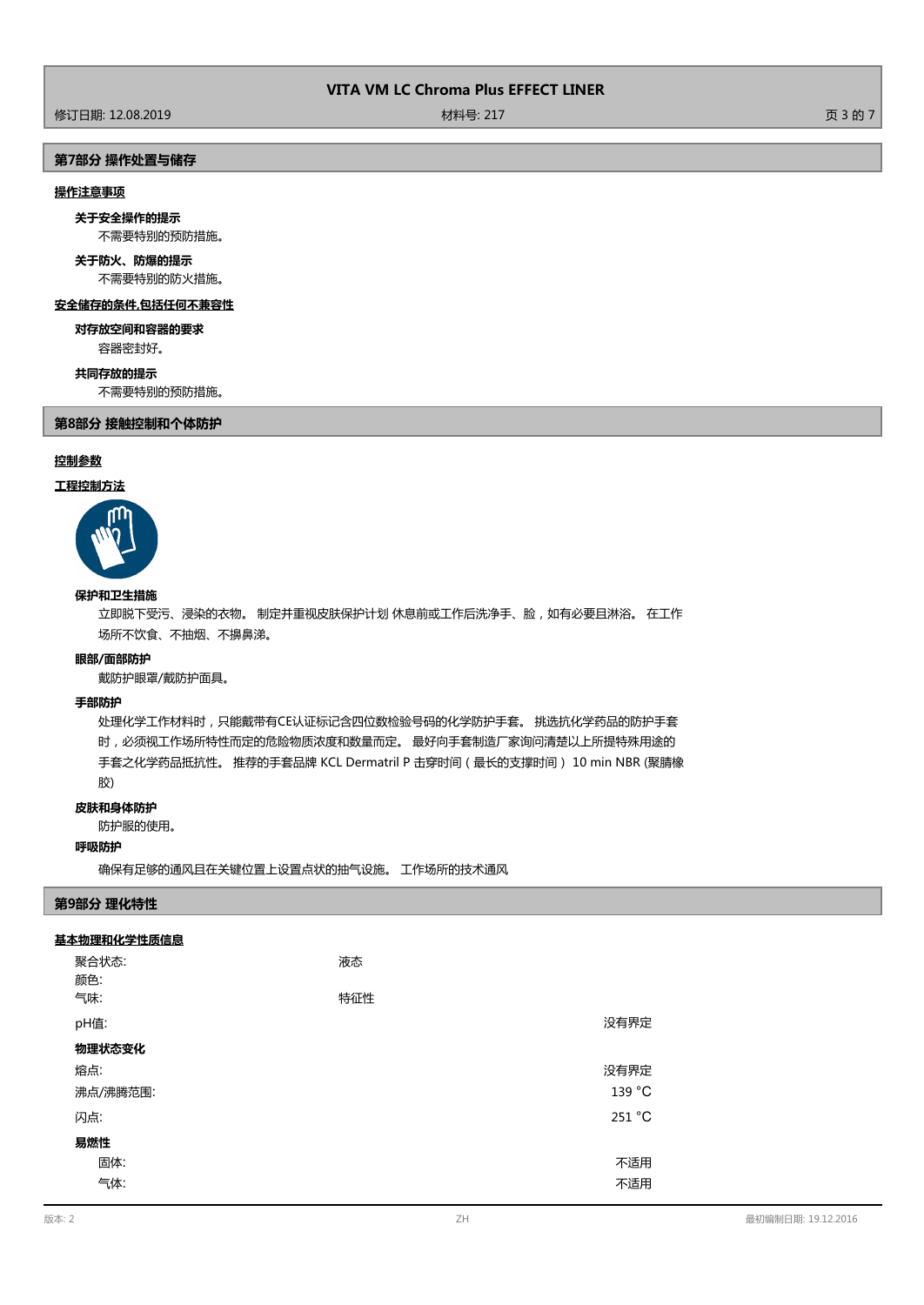修订日期: 12.08.2019 材料号: 217 页 3 的 7

# **第7部分 操作处置与储存**

# **操作注意事项**

不需要特别的预防措施。 **关于安全操作的提示**

**关于防火、防爆的提示**

不需要特别的防火措施。

## **安全储存的条件,包括任何不兼容性**

容器密封好。 **对存放空间和容器的要求**

# **共同存放的提示**

不需要特别的预防措施。

**第8部分 接触控制和个体防护**

# **控制参数**

## **工程控制方法**



# **保护和卫生措施**

立即脱下受污、浸染的衣物。 制定并重视皮肤保护计划 休息前或工作后洗净手、脸,如有必要且淋浴。 在工作 场所不饮食、不抽烟、不擤鼻涕。

#### **眼部/面部防护**

戴防护眼罩/戴防护面具。

# **手部防护**

处理化学工作材料时,只能戴带有CE认证标记含四位数检验号码的化学防护手套。 挑选抗化学药品的防护手套 时,必须视工作场所特性而定的危险物质浓度和数量而定。 最好向手套制造厂家询问清楚以上所提特殊用途的 手套之化学药品抵抗性。 推荐的手套品牌 KCL Dermatril P 击穿时间(最长的支撑时间) 10 min NBR (聚腈橡 胶)

#### **皮肤和身体防护**

防护服的使用。

#### **呼吸防护**

确保有足够的通风且在关键位置上设置点状的抽气设施。 工作场所的技术通风

#### **第9部分 理化特性**

#### **基本物理和化学性质信息**

| 聚合状态:<br>颜色: | 液态  |        |
|--------------|-----|--------|
| 气味:          | 特征性 |        |
| pH值:         |     | 没有界定   |
| 物理状态变化       |     |        |
| 熔点:          |     | 没有界定   |
| 沸点/沸腾范围:     |     | 139 °C |
| 闪点:          |     | 251 °C |
| 易燃性          |     |        |
| 固体:          |     | 不适用    |
| 气体:          |     | 不适用    |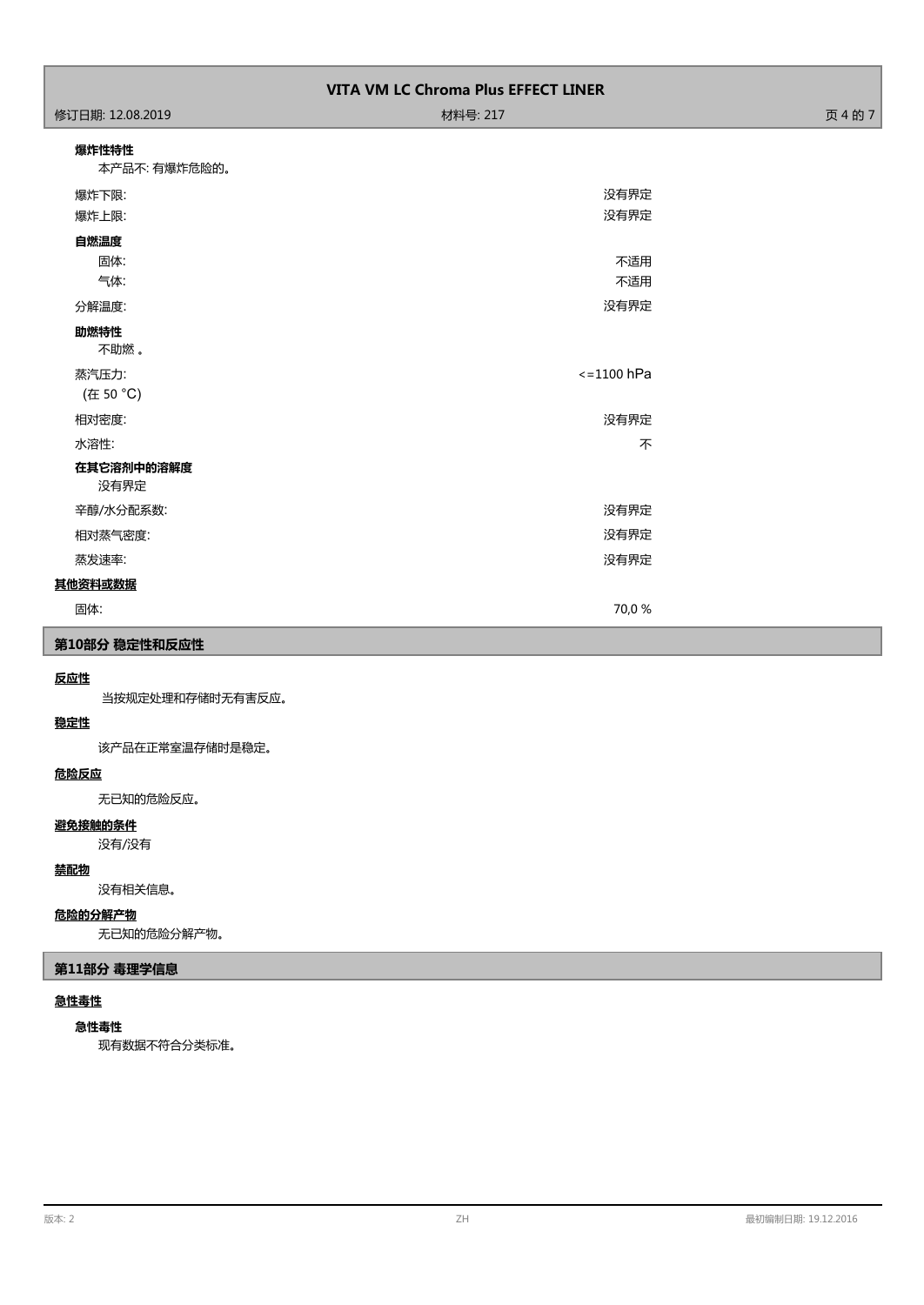| <b>VITA VM LC Chroma Plus EFFECT LINER</b>  |                      |         |  |
|---------------------------------------------|----------------------|---------|--|
| 修订日期: 12.08.2019                            | 材料号: 217             | 页 4 的 7 |  |
| 爆炸性特性<br>本产品不: 有爆炸危险的。                      |                      |         |  |
| 爆炸下限:<br>爆炸上限:                              | 没有界定<br>没有界定         |         |  |
| 自燃温度<br>固体:<br>气体:<br>分解温度:<br>助燃特性<br>不助燃。 | 不适用<br>不适用<br>没有界定   |         |  |
| 蒸汽压力:<br>(在 50 °C)                          | $\epsilon$ =1100 hPa |         |  |
| 相对密度:<br>水溶性:                               | 没有界定<br>不            |         |  |
| 在其它溶剂中的溶解度<br>没有界定<br>辛醇/水分配系数:             | 没有界定                 |         |  |
| 相对蒸气密度:<br>蒸发速率:                            | 没有界定<br>没有界定         |         |  |
| 其他资料或数据                                     |                      |         |  |
| 固体:                                         | 70,0 %               |         |  |

# **第10部分 稳定性和反应性**

# **反应性**

当按规定处理和存储时无有害反应。

# **稳定性**

该产品在正常室温存储时是稳定。

# **危险反应**

无已知的危险反应。

# **避免接触的条件**

没有/没有

# **禁配物**

没有相关信息。

# **危险的分解产物**

无已知的危险分解产物。

# **第11部分 毒理学信息**

# **急性毒性**

# **急性毒性**

现有数据不符合分类标准。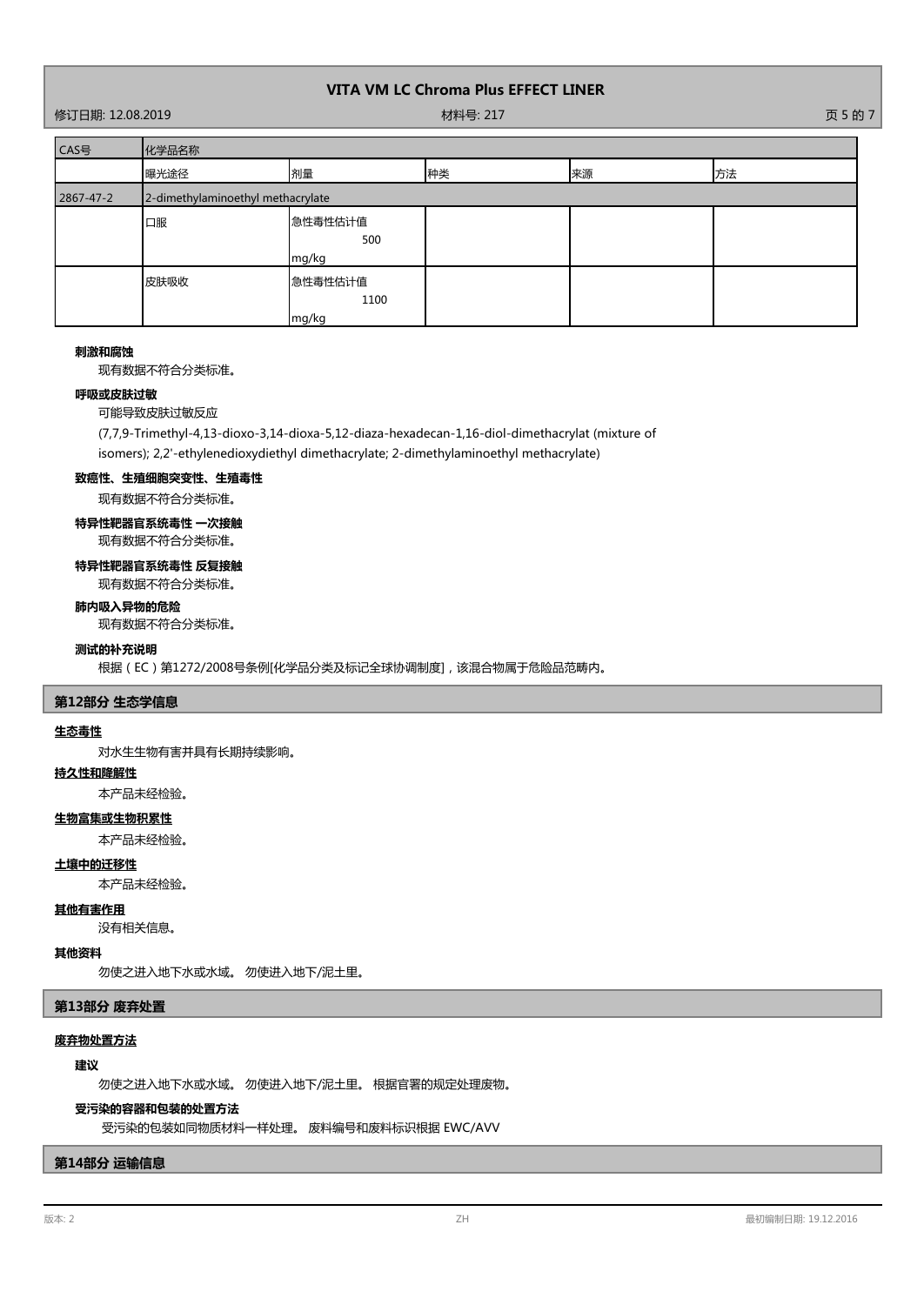修订日期: 12.08.2019 材料号: 217 页 5 的 7

| CAS号      | 化学品名称                             |                          |    |    |    |
|-----------|-----------------------------------|--------------------------|----|----|----|
|           | 曝光途径                              | 剂量                       | 种类 | 来源 | 方法 |
| 2867-47-2 | 2-dimethylaminoethyl methacrylate |                          |    |    |    |
|           | 口服                                | 急性毒性估计值<br>500<br>mg/kg  |    |    |    |
|           | 皮肤吸收                              | 急性毒性估计值<br>1100<br>mg/kg |    |    |    |

#### **刺激和腐蚀**

现有数据不符合分类标准。

#### **呼吸或皮肤过敏**

可能导致皮肤过敏反应

(7,7,9-Trimethyl-4,13-dioxo-3,14-dioxa-5,12-diaza-hexadecan-1,16-diol-dimethacrylat (mixture of

isomers); 2,2'-ethylenedioxydiethyl dimethacrylate; 2-dimethylaminoethyl methacrylate)

# **致癌性、生殖细胞突变性、生殖毒性**

现有数据不符合分类标准。

# **特异性靶器官系统毒性 一次接触**

现有数据不符合分类标准。

# **特异性靶器官系统毒性 反复接触**

现有数据不符合分类标准。

# **肺内吸入异物的危险**

现有数据不符合分类标准。

## **测试的补充说明**

根据(EC)第1272/2008号条例[化学品分类及标记全球协调制度],该混合物属于危险品范畴内。

## **第12部分 生态学信息**

#### **生态毒性**

对水生生物有害并具有长期持续影响。

## **持久性和降解性**

本产品未经检验。

## **生物富集或生物积累性**

本产品未经检验。

# **土壤中的迁移性**

本产品未经检验。

### **其他有害作用**

没有相关信息。

### **其他资料**

勿使之进入地下水或水域。 勿使进入地下/泥土里。

### **第13部分 废弃处置**

# **废弃物处置方法**

## **建议**

勿使之进入地下水或水域。 勿使进入地下/泥土里。 根据官署的规定处理废物。

#### **受污染的容器和包装的处置方法**

受污染的包装如同物质材料一样处理。 废料编号和废料标识根据 EWC/AVV

## **第14部分 运输信息**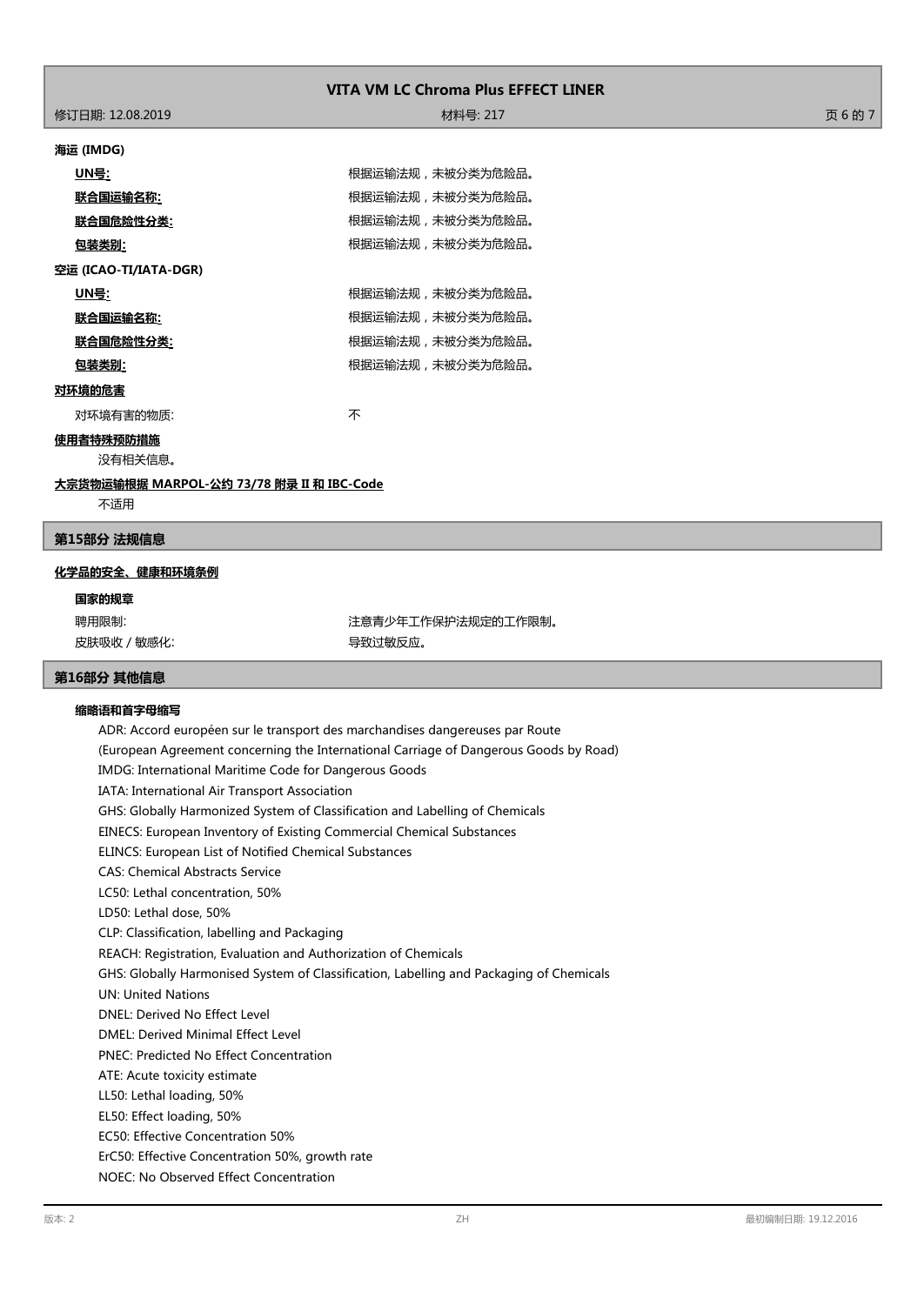| <b>VITA VM LC Chroma Plus EFFECT LINER</b> |                  |      |  |
|--------------------------------------------|------------------|------|--|
| 修订日期: 12.08.2019                           | 材料号: 217         | 页6的7 |  |
| 海运 (IMDG)                                  |                  |      |  |
| <u> UN号</u> :                              | 根据运输法规,未被分类为危险品。 |      |  |
| <u>联合国运输名称:</u>                            | 根据运输法规,未被分类为危险品。 |      |  |
| 联合国危险性分类:                                  | 根据运输法规,未被分类为危险品。 |      |  |
| 包装类别:                                      | 根据运输法规,未被分类为危险品。 |      |  |
| 空运 (ICAO-TI/IATA-DGR)                      |                  |      |  |
| <u> UN号</u> :                              | 根据运输法规,未被分类为危险品。 |      |  |
| 联合国运输名称:                                   | 根据运输法规,未被分类为危险品。 |      |  |
| 联合国危险性分类:                                  | 根据运输法规,未被分类为危险品。 |      |  |
| 包装类别:                                      | 根据运输法规,未被分类为危险品。 |      |  |
| 对环境的危害                                     |                  |      |  |
| 对环境有害的物质:                                  | 不                |      |  |
| 使用者特殊预防措施                                  |                  |      |  |
| 没有相关信息。                                    |                  |      |  |
| 大宗货物运输根据 MARPOL-公约 73/78 附录 II 和 IBC-Code  |                  |      |  |
| 不适用                                        |                  |      |  |
| 第15部分 法规信息                                 |                  |      |  |
|                                            |                  |      |  |

### **化学品的安全、健康和环境条例**

**国家的规章**

皮肤吸收 / 敏感化: インチング インチング マンクロ マンクリン 导致过敏反应。

聘用限制: 第六十四章 第二十四章 第二十一章 注意青少年工作保护法规定的工作限制。

# **第16部分 其他信息**

# **缩略语和首字母缩写**

ADR: Accord européen sur le transport des marchandises dangereuses par Route (European Agreement concerning the International Carriage of Dangerous Goods by Road) IMDG: International Maritime Code for Dangerous Goods IATA: International Air Transport Association GHS: Globally Harmonized System of Classification and Labelling of Chemicals EINECS: European Inventory of Existing Commercial Chemical Substances ELINCS: European List of Notified Chemical Substances CAS: Chemical Abstracts Service LC50: Lethal concentration, 50% LD50: Lethal dose, 50% CLP: Classification, labelling and Packaging REACH: Registration, Evaluation and Authorization of Chemicals GHS: Globally Harmonised System of Classification, Labelling and Packaging of Chemicals UN: United Nations DNEL: Derived No Effect Level DMEL: Derived Minimal Effect Level PNEC: Predicted No Effect Concentration ATE: Acute toxicity estimate LL50: Lethal loading, 50% EL50: Effect loading, 50% EC50: Effective Concentration 50% ErC50: Effective Concentration 50%, growth rate NOEC: No Observed Effect Concentration